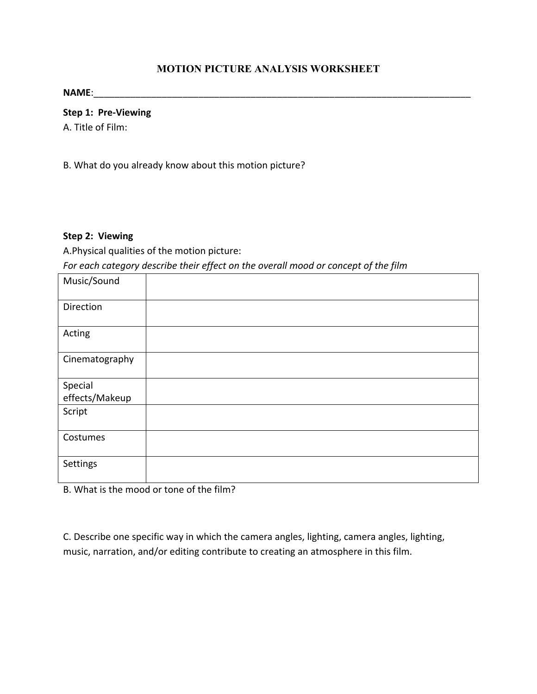## **MOTION PICTURE ANALYSIS WORKSHEET**

**NAME**:\_\_\_\_\_\_\_\_\_\_\_\_\_\_\_\_\_\_\_\_\_\_\_\_\_\_\_\_\_\_\_\_\_\_\_\_\_\_\_\_\_\_\_\_\_\_\_\_\_\_\_\_\_\_\_\_\_\_\_\_\_\_\_\_\_\_\_\_\_\_\_\_

**Step 1: Pre-Viewing** 

A. Title of Film:

B. What do you already know about this motion picture?

## **Step 2: Viewing**

A.Physical qualities of the motion picture:

For each category describe their effect on the overall mood or concept of the film

| Music/Sound    |  |
|----------------|--|
| Direction      |  |
| Acting         |  |
| Cinematography |  |
| Special        |  |
| effects/Makeup |  |
| Script         |  |
| Costumes       |  |
| Settings       |  |

B. What is the mood or tone of the film?

C. Describe one specific way in which the camera angles, lighting, camera angles, lighting, music, narration, and/or editing contribute to creating an atmosphere in this film.